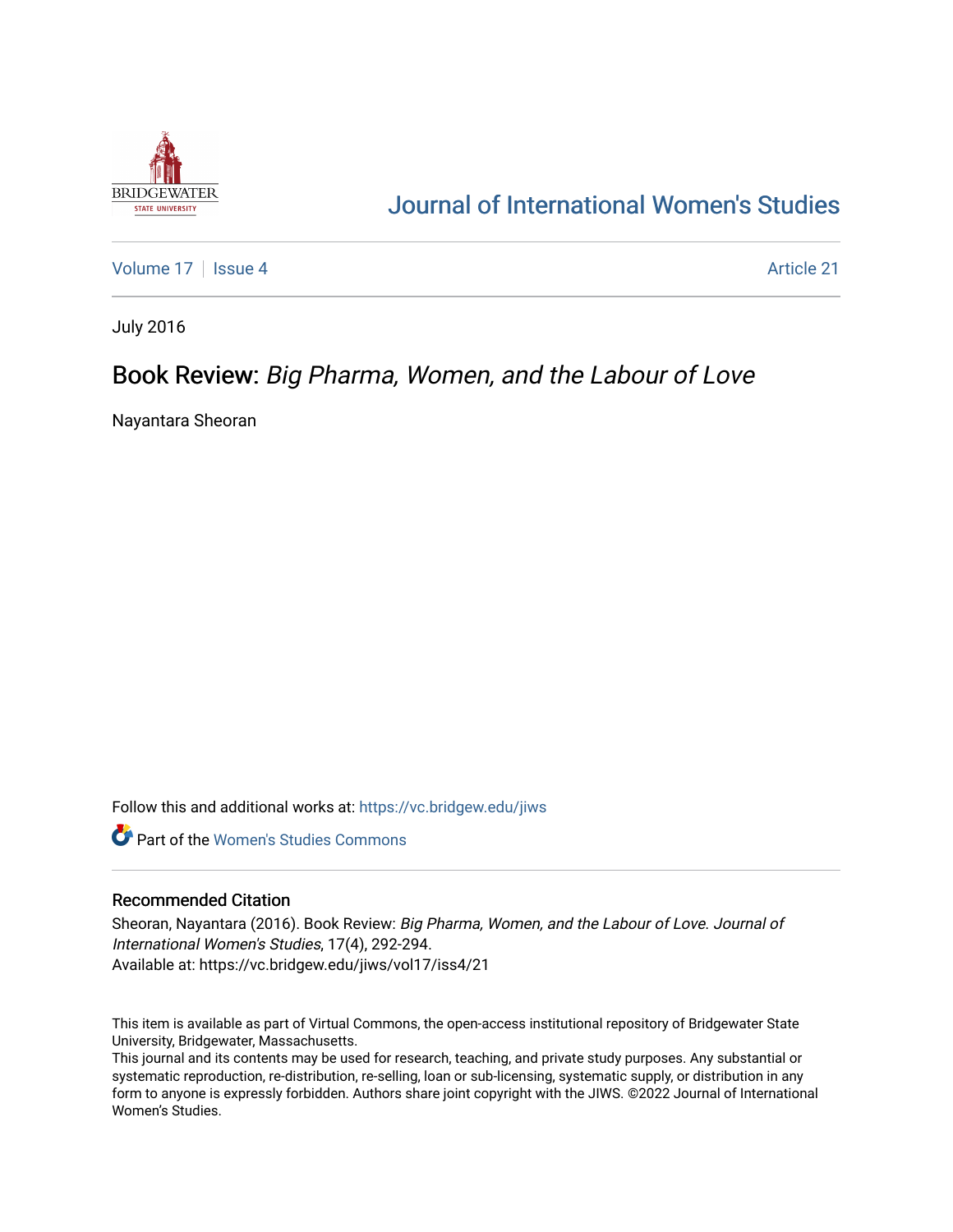

# [Journal of International Women's Studies](https://vc.bridgew.edu/jiws)

[Volume 17](https://vc.bridgew.edu/jiws/vol17) | [Issue 4](https://vc.bridgew.edu/jiws/vol17/iss4) Article 21

July 2016

## Book Review: Big Pharma, Women, and the Labour of Love

Nayantara Sheoran

Follow this and additional works at: [https://vc.bridgew.edu/jiws](https://vc.bridgew.edu/jiws?utm_source=vc.bridgew.edu%2Fjiws%2Fvol17%2Fiss4%2F21&utm_medium=PDF&utm_campaign=PDFCoverPages)

**C** Part of the Women's Studies Commons

#### Recommended Citation

Sheoran, Nayantara (2016). Book Review: Big Pharma, Women, and the Labour of Love. Journal of International Women's Studies, 17(4), 292-294. Available at: https://vc.bridgew.edu/jiws/vol17/iss4/21

This item is available as part of Virtual Commons, the open-access institutional repository of Bridgewater State University, Bridgewater, Massachusetts.

This journal and its contents may be used for research, teaching, and private study purposes. Any substantial or systematic reproduction, re-distribution, re-selling, loan or sub-licensing, systematic supply, or distribution in any form to anyone is expressly forbidden. Authors share joint copyright with the JIWS. ©2022 Journal of International Women's Studies.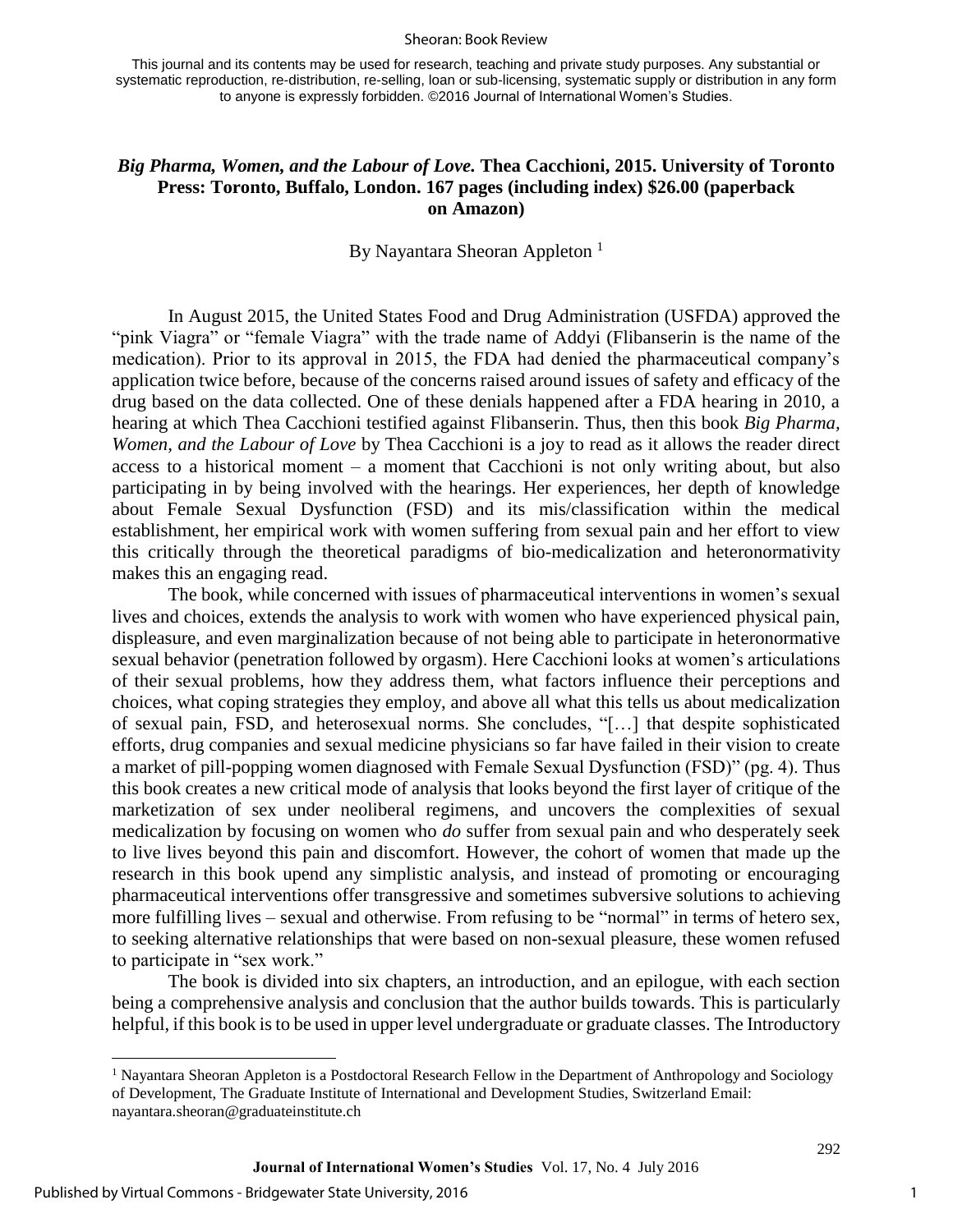#### Sheoran: Book Review

This journal and its contents may be used for research, teaching and private study purposes. Any substantial or systematic reproduction, re-distribution, re-selling, loan or sub-licensing, systematic supply or distribution in any form to anyone is expressly forbidden. ©2016 Journal of International Women's Studies.

### *Big Pharma, Women, and the Labour of Love.* **Thea Cacchioni, 2015. University of Toronto Press: Toronto, Buffalo, London. 167 pages (including index) \$26.00 (paperback on Amazon)**

By Nayantara Sheoran Appleton<sup>1</sup>

In August 2015, the United States Food and Drug Administration (USFDA) approved the "pink Viagra" or "female Viagra" with the trade name of Addyi (Flibanserin is the name of the medication). Prior to its approval in 2015, the FDA had denied the pharmaceutical company's application twice before, because of the concerns raised around issues of safety and efficacy of the drug based on the data collected. One of these denials happened after a FDA hearing in 2010, a hearing at which Thea Cacchioni testified against Flibanserin. Thus, then this book *Big Pharma, Women, and the Labour of Love* by Thea Cacchioni is a joy to read as it allows the reader direct access to a historical moment – a moment that Cacchioni is not only writing about, but also participating in by being involved with the hearings. Her experiences, her depth of knowledge about Female Sexual Dysfunction (FSD) and its mis/classification within the medical establishment, her empirical work with women suffering from sexual pain and her effort to view this critically through the theoretical paradigms of bio-medicalization and heteronormativity makes this an engaging read.

The book, while concerned with issues of pharmaceutical interventions in women's sexual lives and choices, extends the analysis to work with women who have experienced physical pain, displeasure, and even marginalization because of not being able to participate in heteronormative sexual behavior (penetration followed by orgasm). Here Cacchioni looks at women's articulations of their sexual problems, how they address them, what factors influence their perceptions and choices, what coping strategies they employ, and above all what this tells us about medicalization of sexual pain, FSD, and heterosexual norms. She concludes, "[…] that despite sophisticated efforts, drug companies and sexual medicine physicians so far have failed in their vision to create a market of pill-popping women diagnosed with Female Sexual Dysfunction (FSD)" (pg. 4). Thus this book creates a new critical mode of analysis that looks beyond the first layer of critique of the marketization of sex under neoliberal regimens, and uncovers the complexities of sexual medicalization by focusing on women who *do* suffer from sexual pain and who desperately seek to live lives beyond this pain and discomfort. However, the cohort of women that made up the research in this book upend any simplistic analysis, and instead of promoting or encouraging pharmaceutical interventions offer transgressive and sometimes subversive solutions to achieving more fulfilling lives – sexual and otherwise. From refusing to be "normal" in terms of hetero sex, to seeking alternative relationships that were based on non-sexual pleasure, these women refused to participate in "sex work."

The book is divided into six chapters, an introduction, and an epilogue, with each section being a comprehensive analysis and conclusion that the author builds towards. This is particularly helpful, if this book is to be used in upper level undergraduate or graduate classes. The Introductory

 $\overline{\phantom{a}}$ 

292

<sup>&</sup>lt;sup>1</sup> Nayantara Sheoran Appleton is a Postdoctoral Research Fellow in the Department of Anthropology and Sociology of Development, The Graduate Institute of International and Development Studies, Switzerland Email: nayantara.sheoran@graduateinstitute.ch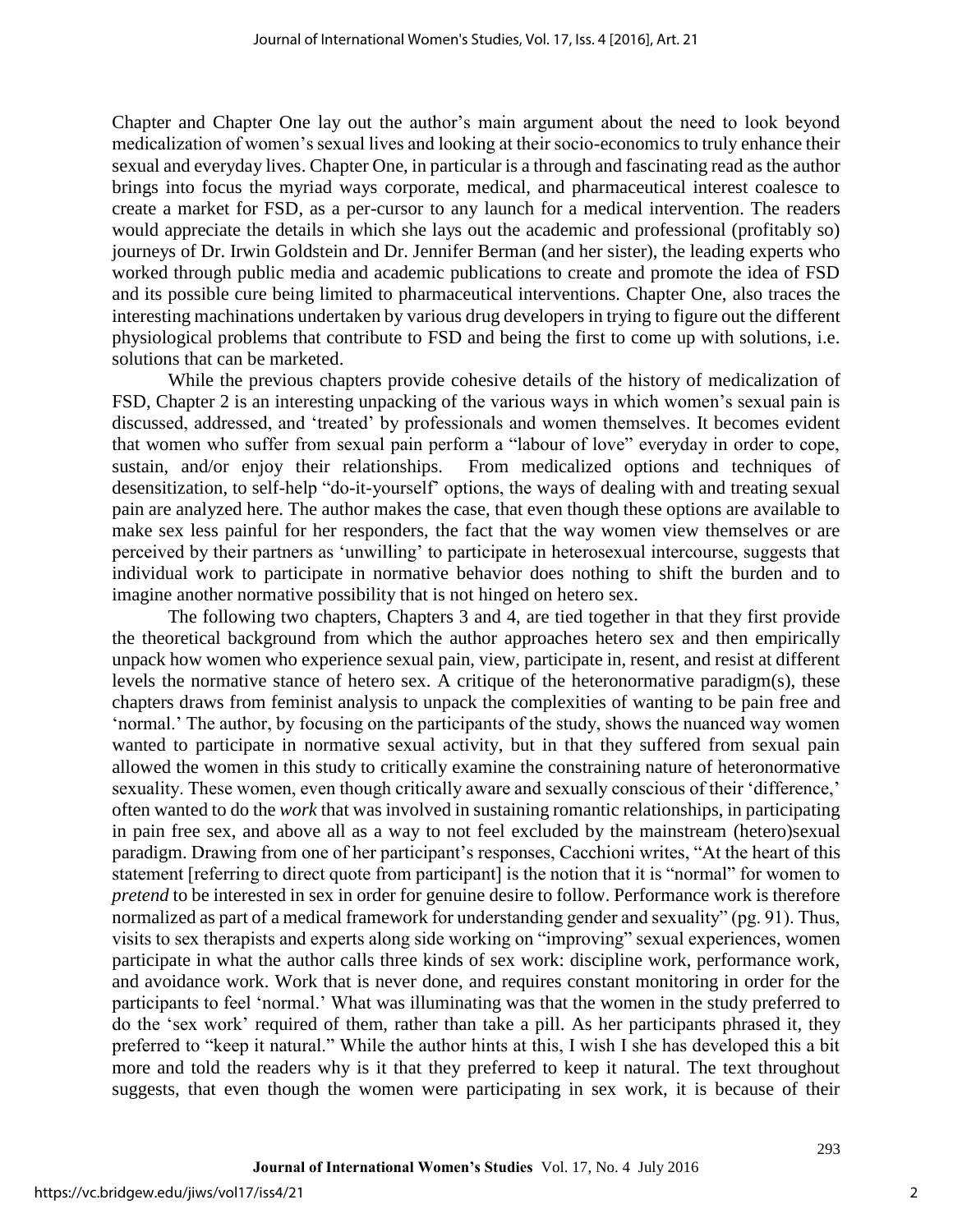Chapter and Chapter One lay out the author's main argument about the need to look beyond medicalization of women's sexual lives and looking at their socio-economics to truly enhance their sexual and everyday lives. Chapter One, in particular is a through and fascinating read as the author brings into focus the myriad ways corporate, medical, and pharmaceutical interest coalesce to create a market for FSD, as a per-cursor to any launch for a medical intervention. The readers would appreciate the details in which she lays out the academic and professional (profitably so) journeys of Dr. Irwin Goldstein and Dr. Jennifer Berman (and her sister), the leading experts who worked through public media and academic publications to create and promote the idea of FSD and its possible cure being limited to pharmaceutical interventions. Chapter One, also traces the interesting machinations undertaken by various drug developers in trying to figure out the different physiological problems that contribute to FSD and being the first to come up with solutions, i.e. solutions that can be marketed.

While the previous chapters provide cohesive details of the history of medicalization of FSD, Chapter 2 is an interesting unpacking of the various ways in which women's sexual pain is discussed, addressed, and 'treated' by professionals and women themselves. It becomes evident that women who suffer from sexual pain perform a "labour of love" everyday in order to cope, sustain, and/or enjoy their relationships. From medicalized options and techniques of desensitization, to self-help "do-it-yourself' options, the ways of dealing with and treating sexual pain are analyzed here. The author makes the case, that even though these options are available to make sex less painful for her responders, the fact that the way women view themselves or are perceived by their partners as 'unwilling' to participate in heterosexual intercourse, suggests that individual work to participate in normative behavior does nothing to shift the burden and to imagine another normative possibility that is not hinged on hetero sex.

The following two chapters, Chapters 3 and 4, are tied together in that they first provide the theoretical background from which the author approaches hetero sex and then empirically unpack how women who experience sexual pain, view, participate in, resent, and resist at different levels the normative stance of hetero sex. A critique of the heteronormative paradigm(s), these chapters draws from feminist analysis to unpack the complexities of wanting to be pain free and 'normal.' The author, by focusing on the participants of the study, shows the nuanced way women wanted to participate in normative sexual activity, but in that they suffered from sexual pain allowed the women in this study to critically examine the constraining nature of heteronormative sexuality. These women, even though critically aware and sexually conscious of their 'difference,' often wanted to do the *work* that was involved in sustaining romantic relationships, in participating in pain free sex, and above all as a way to not feel excluded by the mainstream (hetero)sexual paradigm. Drawing from one of her participant's responses, Cacchioni writes, "At the heart of this statement [referring to direct quote from participant] is the notion that it is "normal" for women to *pretend* to be interested in sex in order for genuine desire to follow. Performance work is therefore normalized as part of a medical framework for understanding gender and sexuality" (pg. 91). Thus, visits to sex therapists and experts along side working on "improving" sexual experiences, women participate in what the author calls three kinds of sex work: discipline work, performance work, and avoidance work. Work that is never done, and requires constant monitoring in order for the participants to feel 'normal.' What was illuminating was that the women in the study preferred to do the 'sex work' required of them, rather than take a pill. As her participants phrased it, they preferred to "keep it natural." While the author hints at this, I wish I she has developed this a bit more and told the readers why is it that they preferred to keep it natural. The text throughout suggests, that even though the women were participating in sex work, it is because of their

2

293